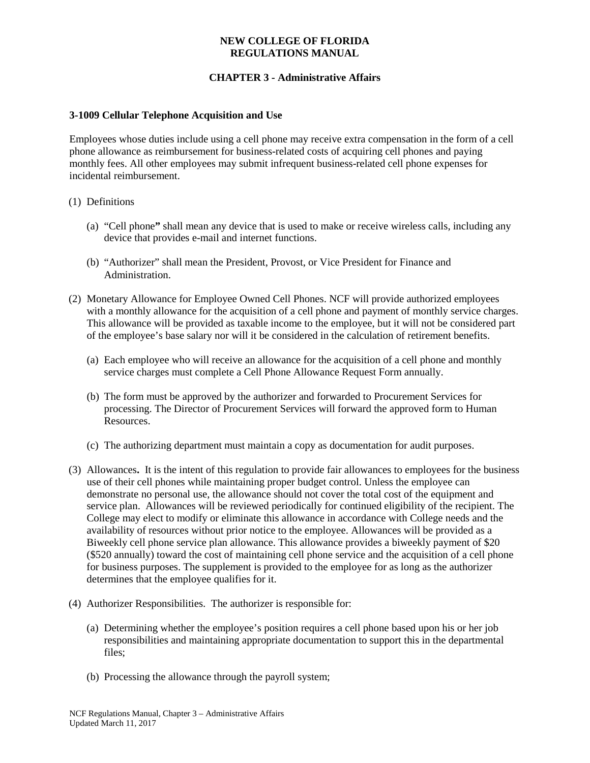### **NEW COLLEGE OF FLORIDA REGULATIONS MANUAL**

# **CHAPTER 3 - Administrative Affairs**

### **3-1009 Cellular Telephone Acquisition and Use**

Employees whose duties include using a cell phone may receive extra compensation in the form of a cell phone allowance as reimbursement for business-related costs of acquiring cell phones and paying monthly fees. All other employees may submit infrequent business-related cell phone expenses for incidental reimbursement.

### (1) Definitions

- (a) "Cell phone**"** shall mean any device that is used to make or receive wireless calls, including any device that provides e-mail and internet functions.
- (b) "Authorizer" shall mean the President, Provost, or Vice President for Finance and Administration.
- (2) Monetary Allowance for Employee Owned Cell Phones. NCF will provide authorized employees with a monthly allowance for the acquisition of a cell phone and payment of monthly service charges. This allowance will be provided as taxable income to the employee, but it will not be considered part of the employee's base salary nor will it be considered in the calculation of retirement benefits.
	- (a) Each employee who will receive an allowance for the acquisition of a cell phone and monthly service charges must complete a Cell Phone Allowance Request Form annually.
	- (b) The form must be approved by the authorizer and forwarded to Procurement Services for processing. The Director of Procurement Services will forward the approved form to Human Resources.
	- (c) The authorizing department must maintain a copy as documentation for audit purposes.
- (3) Allowances**.** It is the intent of this regulation to provide fair allowances to employees for the business use of their cell phones while maintaining proper budget control. Unless the employee can demonstrate no personal use, the allowance should not cover the total cost of the equipment and service plan. Allowances will be reviewed periodically for continued eligibility of the recipient. The College may elect to modify or eliminate this allowance in accordance with College needs and the availability of resources without prior notice to the employee. Allowances will be provided as a Biweekly cell phone service plan allowance. This allowance provides a biweekly payment of \$20 (\$520 annually) toward the cost of maintaining cell phone service and the acquisition of a cell phone for business purposes. The supplement is provided to the employee for as long as the authorizer determines that the employee qualifies for it.
- (4) Authorizer Responsibilities. The authorizer is responsible for:
	- (a) Determining whether the employee's position requires a cell phone based upon his or her job responsibilities and maintaining appropriate documentation to support this in the departmental files;
	- (b) Processing the allowance through the payroll system;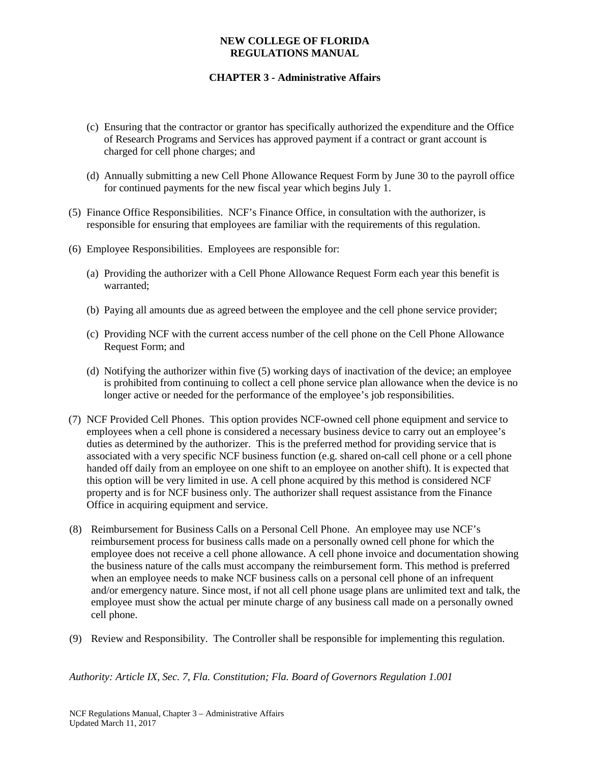### **NEW COLLEGE OF FLORIDA REGULATIONS MANUAL**

# **CHAPTER 3 - Administrative Affairs**

- (c) Ensuring that the contractor or grantor has specifically authorized the expenditure and the Office of Research Programs and Services has approved payment if a contract or grant account is charged for cell phone charges; and
- (d) Annually submitting a new Cell Phone Allowance Request Form by June 30 to the payroll office for continued payments for the new fiscal year which begins July 1.
- (5) Finance Office Responsibilities. NCF's Finance Office, in consultation with the authorizer, is responsible for ensuring that employees are familiar with the requirements of this regulation.
- (6) Employee Responsibilities. Employees are responsible for:
	- (a) Providing the authorizer with a Cell Phone Allowance Request Form each year this benefit is warranted;
	- (b) Paying all amounts due as agreed between the employee and the cell phone service provider;
	- (c) Providing NCF with the current access number of the cell phone on the Cell Phone Allowance Request Form; and
	- (d) Notifying the authorizer within five (5) working days of inactivation of the device; an employee is prohibited from continuing to collect a cell phone service plan allowance when the device is no longer active or needed for the performance of the employee's job responsibilities.
- (7) NCF Provided Cell Phones. This option provides NCF-owned cell phone equipment and service to employees when a cell phone is considered a necessary business device to carry out an employee's duties as determined by the authorizer. This is the preferred method for providing service that is associated with a very specific NCF business function (e.g. shared on-call cell phone or a cell phone handed off daily from an employee on one shift to an employee on another shift). It is expected that this option will be very limited in use. A cell phone acquired by this method is considered NCF property and is for NCF business only. The authorizer shall request assistance from the Finance Office in acquiring equipment and service.
- (8) Reimbursement for Business Calls on a Personal Cell Phone. An employee may use NCF's reimbursement process for business calls made on a personally owned cell phone for which the employee does not receive a cell phone allowance. A cell phone invoice and documentation showing the business nature of the calls must accompany the reimbursement form. This method is preferred when an employee needs to make NCF business calls on a personal cell phone of an infrequent and/or emergency nature. Since most, if not all cell phone usage plans are unlimited text and talk, the employee must show the actual per minute charge of any business call made on a personally owned cell phone.
- (9) Review and Responsibility. The Controller shall be responsible for implementing this regulation.

*Authority: Article IX, Sec. 7, Fla. Constitution; Fla. Board of Governors Regulation 1.001*